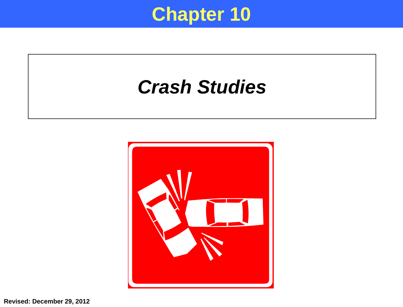### **Chapter 10**

### *Crash Studies*

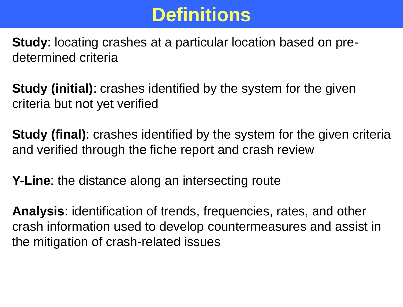## **Definitions**

**Study**: locating crashes at a particular location based on predetermined criteria

**Study (initial)**: crashes identified by the system for the given criteria but not yet verified

**Study (final)**: crashes identified by the system for the given criteria and verified through the fiche report and crash review

**Y-Line**: the distance along an intersecting route

**Analysis**: identification of trends, frequencies, rates, and other crash information used to develop countermeasures and assist in the mitigation of crash-related issues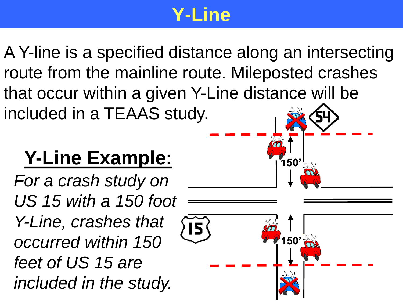# **Y-Line**

A Y-line is a specified distance along an intersecting route from the mainline route. Mileposted crashes that occur within a given Y-Line distance will be included in a TEAAS study.

# **Y-Line Example:**  $\frac{1}{100}$

*For a crash study on US 15 with a 150 foot Y-Line, crashes that occurred within 150 feet of US 15 are included in the study.*

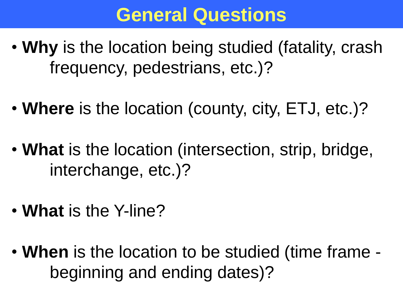### **General Questions**

- **Why** is the location being studied (fatality, crash frequency, pedestrians, etc.)?
- **Where** is the location (county, city, ETJ, etc.)?
- **What** is the location (intersection, strip, bridge, interchange, etc.)?
- **What** is the Y-line?
- **When** is the location to be studied (time frame beginning and ending dates)?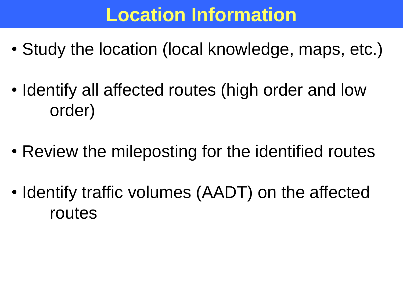# **Location Information**

- Study the location (local knowledge, maps, etc.)
- Identify all affected routes (high order and low order)
- Review the mileposting for the identified routes
- Identify traffic volumes (AADT) on the affected routes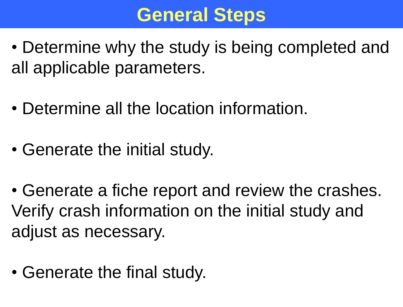## **General Steps**

- Determine why the study is being completed and all applicable parameters.
- Determine all the location information.
- Generate the initial study.
- Generate a fiche report and review the crashes. Verify crash information on the initial study and adjust as necessary.
- Generate the final study.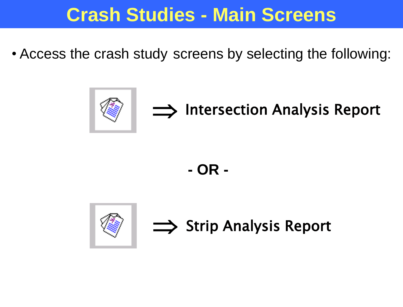### **Crash Studies - Main Screens**

• Access the crash study screens by selecting the following:



### $\implies$  Intersection Analysis Report

**- OR -**



 $\implies$  Strip Analysis Report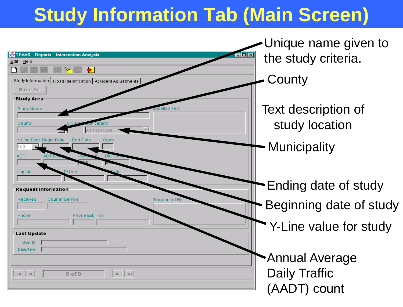# **Study Information Tab (Main Screen)**

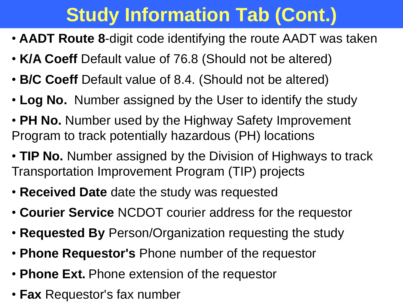# **Study Information Tab (Cont.)**

- **AADT Route 8**-digit code identifying the route AADT was taken
- **K/A Coeff** Default value of 76.8 (Should not be altered)
- **B/C Coeff** Default value of 8.4. (Should not be altered)
- **Log No.** Number assigned by the User to identify the study
- **PH No.** Number used by the Highway Safety Improvement Program to track potentially hazardous (PH) locations
- **TIP No.** Number assigned by the Division of Highways to track Transportation Improvement Program (TIP) projects
- **Received Date** date the study was requested
- **Courier Service** NCDOT courier address for the requestor
- **Requested By** Person/Organization requesting the study
- **Phone Requestor's** Phone number of the requestor
- **Phone Ext.** Phone extension of the requestor
- **Fax** Requestor's fax number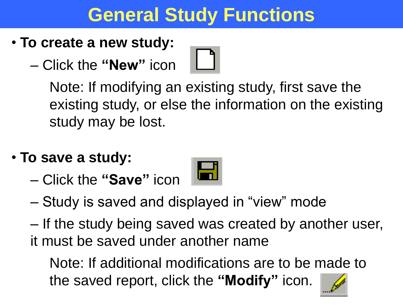# **General Study Functions**

- **To create a new study:**
	- Click the **"New"** icon



Note: If modifying an existing study, first save the existing study, or else the information on the existing study may be lost.

- **To save a study:**
	- Click the **"Save"** icon



– Study is saved and displayed in "view" mode

– If the study being saved was created by another user, it must be saved under another name

Note: If additional modifications are to be made to the saved report, click the **"Modify"** icon.

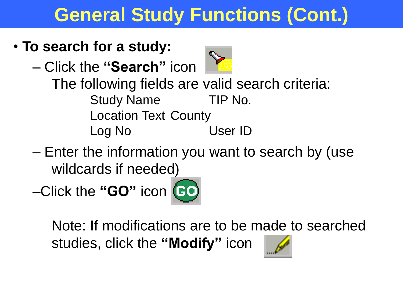# **General Study Functions (Cont.)**

### • **To search for a study:**

– Click the **"Search"** icon



- The following fields are valid search criteria: Study Name TIP No. Location Text County Log No User ID
- Enter the information you want to search by (use wildcards if needed)

–Click the **"GO"** icon



Note: If modifications are to be made to searched studies, click the **"Modify"** icon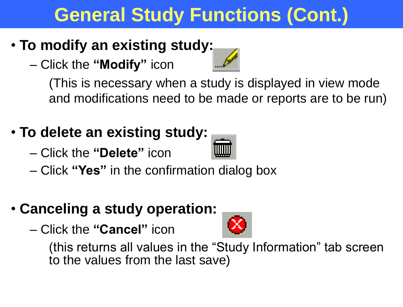# **General Study Functions (Cont.)**

### • **To modify an existing study:**

– Click the **"Modify"** icon

(This is necessary when a study is displayed in view mode and modifications need to be made or reports are to be run)

### • **To delete an existing study:**

- Click the **"Delete"** icon
- Click **"Yes"** in the confirmation dialog box

### • **Canceling a study operation:**

– Click the **"Cancel"** icon

(this returns all values in the "Study Information" tab screen to the values from the last save)



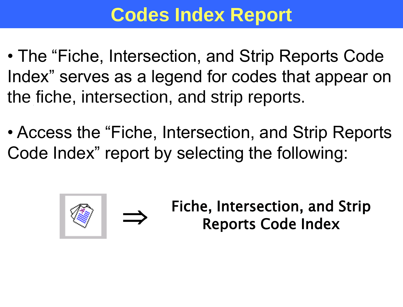# **Codes Index Report Codes Index Report**

- The "Fiche, Intersection, and Strip Reports Code Index" serves as a legend for codes that appear on the fiche, intersection, and strip reports.
- Access the "Fiche, Intersection, and Strip Reports Code Index" report by selecting the following:



Fiche, Intersection, and Strip Reports Code Index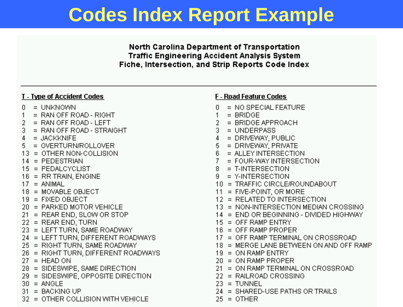## **Codes Index Report Example**

North Carolina Department of Transportation **Traffic Engineering Accident Analysis System** Fiche, Intersection, and Strip Reports Code Index

### **T - Type of Accident Codes**

- $0 = UNKNOWN$
- $1 =$  RAN OFF ROAD RIGHT
- $2 =$ RAN OFF ROAD LEFT
- 3.  $=$  RAN OFF ROAD - STRAIGHT
- $\overline{4}$ = JACKKNIFE
- 5. = OVERTURN/ROLLOVER
- $13 = 0$ THER NON-COLLISION
- $14 = PEDESTRIAN$
- $15 = PEDALCYCLIST$
- $16$  = RR TRAIN, ENGINE
- $17 = ANIMAL$
- 18 = MOVABLE OBJECT
- $19 =$  FIXED OBJECT
- 20 = PARKED MOTOR VEHICLE
- 21 = REAR END, SLOW OR STOP
- $22 = REAR END, TURN$
- 23 = LEFT TURN, SAME ROADWAY
- 24 = LEFT TURN, DIFFERENT ROADWAYS
- 25 = RIGHT TURN, SAME ROADWAY
- 26 = RIGHT TURN, DIFFERENT ROADWAYS
- $27 = HEAD ON$
- 28 = SIDESWIPE, SAME DIRECTION
- 29 = SIDESWIPE, OPPOSITE DIRECTION
- $30 = ANGLE$
- $31 = BACKING UP$
- 32 = OTHER COLLISION WITH VEHICLE

### **F** - Road Feature Codes

- $=$  NO SPECIAL FEATURE n.
- $=$  BRIDGE  $1$
- $2 = BRIDGE APPROACH$
- $3 = UNDERPASS$
- 4 = DRIVEWAY, PUBLIC
- 5 = DRIVEWAY, PRIVATE
- 6 = ALLEY INTERSECTION
- 7 = FOUR-WAY INTERSECTION
- $8 = T$ -INTERSECTION
- 9 = Y-INTERSECTION
- 10 = TRAFFIC CIRCLE/ROUNDABOUT
- $11 =$  FIVE-POINT, OR MORE
- 12 = RELATED TO INTERSECTION
- 13 = NON-INTERSECTION MEDIAN CROSSING
- 14 = END OR BEGINNING DIVIDED HIGHWAY
- $15 =$  OFF RAMP ENTRY
- $16 =$  OFF RAMP PROPER
- 17 = OFF RAMP TERMINAL ON CROSSROAD
	- 18 = MERGE LANE BETWEEN ON AND OFF RAMP
	- $19 = ON$  RAMP ENTRY
	- $20 = ON$  RAMP PROPER
	- $21 = ON$  RAMP TERMINAL ON CROSSROAD
	- $22 = RAILROAD CROSSING$
	- $23 = TUNNEL$
	- $24 = SHARED-USE$  PATHS OR TRAILS
	- $25 = 0$ THER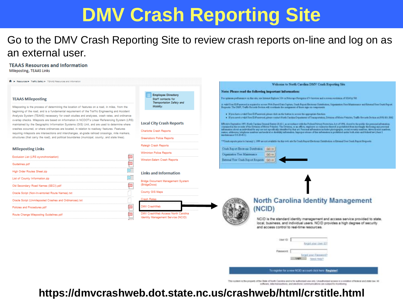# **DMV Crash Reporting Site**

### Go to the DMV Crash Reporting Site to review crash reports on-line and log on as an external user.

#### **TEAAS Resources and Information** Mileposting, TEAAS Links

**A** E Resources E Traffic Safety E TEAAS Resources and Information

#### **TEAAS Mileposting**

Milenosting is the process of determining the location of features on a road, in miles, from the beginning of the road, and is a fundamental requirement of the Traffic Engineering and Accident Analysis System (TEAAS) necessary for crash studies and analyses, crash rates, and ordinance overlap checks. Mileposts are based on information in NCDOT's Linear Referencing System (LRS) maintained by the Geographic Information Systems (GIS) Unit, and are used to determine where crashes occurred, or where ordinances are located, in relation to roadway features. Features requiring mileposts are intersections and interchanges, at-grade railroad crossings, mile markers, structures (that carry the road), and political boundaries (municipal, county, and state lines).

#### **Mileposting Links**

| Exclusion List (LRS sycnchronization)                   |  |
|---------------------------------------------------------|--|
| Guidelines.pdf                                          |  |
| High Order Routes Sheet.zip                             |  |
| List of County Information.zip                          |  |
| Old Secondary Road Names (SECI).pdf                     |  |
| Oracle Script (Non-Inventoried Route Names).txt         |  |
| Oracle Script (Unmileposted Crashes and Ordinances).txt |  |
| Policies and Procedures.pdf                             |  |
| Route Change Mileposting Guidelines.pdf                 |  |

| <b>Employee Directory</b>        |
|----------------------------------|
| Staff contacts for               |
| <b>Transportation Safety and</b> |
| Mobility.                        |

#### **Local City Crash Reports**

|  | Charlotte Crash Reports |
|--|-------------------------|
|  |                         |

**Greensboro Police Reports** 

Raleigh Crash Reports

**Wilminton Police Reports** 

Winston-Salem Crash Reports

#### **Links and Information**

Bridge Document Management System (BridgeDocs)

County GIS Maps

Crach Rates

DMV CrashWeb Access North Carolina Identity Management Service (NCID)



#### **North Carolina Identity Management** (NCID)

NCID is the standard identity management and access service provided to state. local. business, and individual users. NCID provides a high degree of security and access control to real-time resources.

| ٠<br>í,<br>۰     | ٠                  |
|------------------|--------------------|
| ü<br>č<br>٠<br>٦ |                    |
| ۱                | ٠<br>٠<br>- -<br>× |

#### To register for a new NGC account click here. Register

This system is the property of the Style of North Carolina and is the subscripts you crit, Unsufficient access in a stateful of Nobel and state (see Al activate data transactions, and alactivities communications are subject to municipal

### https://dmvcrashweb.dot.state.nc.us/crashweb/html/crstitle.html

#### Welcome to North Carolina DMV Crash Reporting Site

#### Note: Please read the following important information:

For optioning portlandation on that also, said Educated Sphere 20th or Elistence Himpurer 47+ between and a correspondence, of SUSHry 303.

A void live Eff account a requisit a sense Web David David ayear. Onch Report Borowsk Davidson, Organism User Medemane and Education Orach Report<br>Requisits The DMP, Frafts Recents Recise will constrain the serigionest of t

- . If you have a valid they (DiPasswork please this in the button to access the appropriate function.
- . If you need a valid Used Differenced, given contact Hoath Carolina Department of Transportation, Density of Hota Federal, Traffic Stream in Detton at (FFF) 501-300

There Inputes IVI; ItalyCatin Georg State 2041; a screener will be Febru Freez Presence As a UPA, deed to be published to present a freezon a file Dresse of Mein-State. The Dresse, or as office, engineer is connected benef Navision annual (20.20-451)

\*\* Credit exposts point to January 1, 1999 are ant available via this lest use for Credit Report United control Catalogue or Estora Unit Credit Report Desputy

Crash Report Hectronic Datebution | 00-> | Copenses on User Maintenance  $00 - 6$ Estosal Une Crazk Report Reports | GO->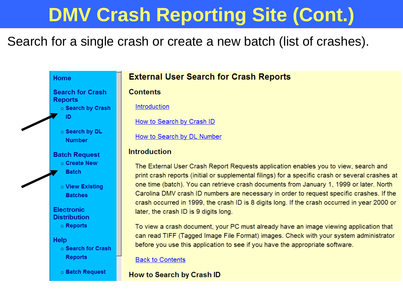# **DMV Crash Reporting Site (Cont.)**

### Search for a single crash or create a new batch (list of crashes).

#### Home

**Search for Crash Reports C Search by Crash** 

ID

o Search by DL **Number** 

### **Batch Request**

o Create New **Batch** 

o View Existing **Batches** 

### **Electronic Distribution**

o Reports

#### Help

○ Search for Crash **Reports** 

o Batch Request

### **External User Search for Crash Reports**

#### **Contents**

Introduction

How to Search by Crash ID

How to Search by DL Number

### **Introduction**

The External User Crash Report Requests application enables you to view, search and print crash reports (initial or supplemental filings) for a specific crash or several crashes at one time (batch). You can retrieve crash documents from January 1, 1999 or later. North Carolina DMV crash ID numbers are necessary in order to request specific crashes. If the crash occurred in 1999, the crash ID is 8 digits long. If the crash occurred in year 2000 or later, the crash ID is 9 digits long.

To view a crash document, your PC must already have an image viewing application that can read TIFF (Tagged Image File Format) images. Check with your system administrator before you use this application to see if you have the appropriate software.

#### **Back to Contents**

### How to Search by Crash ID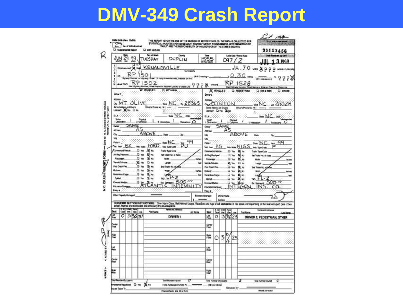## **DMV-349 Crash Report**

| <b>Call Report</b>                                                                   | THE REPORT IS FOR THE USE OF THE DIVISION OF MOTOR VEHICLES. THE DATA IS COLLECTED FOR<br>STATISTICAL ANALYSIS AND SUBSCRIPTING WARRANTY ARROWANCED OF THANKATIONS OF<br>TRINITY ARE THANK ARE RESPONSIBILITY OF HEARING OR OF THE S<br>C2 DWISE/DUN |                        |                                                              |                  |            |                      |                          |                         |                                         | 99123456                                  |
|--------------------------------------------------------------------------------------|------------------------------------------------------------------------------------------------------------------------------------------------------------------------------------------------------------------------------------------------------|------------------------|--------------------------------------------------------------|------------------|------------|----------------------|--------------------------|-------------------------|-----------------------------------------|-------------------------------------------|
| <b>WA</b><br>졣<br>99<br>utien-<br>YDA                                                | Day of Week<br><b>TUESDAY</b><br>DUPLIN                                                                                                                                                                                                              | County                 | 555                                                          |                  |            | O9 7                 | Local Line / Patrol Area |                         |                                         | 1999                                      |
| Creat imported To He                                                                 | KENANSVILLE                                                                                                                                                                                                                                          |                        |                                                              |                  |            |                      |                          |                         | $Q$ $M$ and $Q$ $\Sigma$ . $H$          | p<br>õ<br><b>WRIGHT FILMS</b>             |
| <b>OCAT</b><br>50<br><b>DR</b><br>ï                                                  | Street, I II children power                                                                                                                                                                                                                          |                        | <b>DIRCs</b>                                                 |                  |            |                      |                          | 30 mm                   | THE TIME                                |                                           |
| ۰<br>u<br><b>TKV/T</b>                                                               | 50<br>is or Anjourn's County or State Line                                                                                                                                                                                                           |                        | 문문문<br>米                                                     |                  |            |                      |                          | 526                     |                                         |                                           |
|                                                                                      | <b>M</b> VEHICLE 1<br><b>Q HT &amp; RUM</b>                                                                                                                                                                                                          |                        | ж                                                            | <b>VEHICLE 2</b> |            |                      |                          | <b>Q PEDESTRIAN</b>     | <b>DI HIT &amp; RUN</b>                 | re or Acuscom County or<br><b>D</b> OTHER |
| Determine to<br>433464                                                               |                                                                                                                                                                                                                                                      |                        | Driver 2                                                     |                  |            |                      |                          |                         |                                         |                                           |
| ay M<br>OLIVE                                                                        | Driver's Phone No.                                                                                                                                                                                                                                   | 28365                  | OVELINTON                                                    |                  |            |                      |                          |                         | Sab NC                                  | ao 28328                                  |
| Same Address on Delver's<br>Learnest X Ves CJ No                                     | WE<br>H)                                                                                                                                                                                                                                             |                        | Suite Address in Driver's<br>License <sup>1</sup> Dires 2014 |                  |            |                      |                          | Dilver's Phone No. W.L. | н.                                      |                                           |
| 0.14<br>Walon<br>Physical                                                            | NC                                                                                                                                                                                                                                                   | DOB                    | 0.1.8<br>Vision                                              |                  |            |                      | Myskel                   |                         |                                         | am NC<br>$-000$                           |
| 1. Distinction<br>2. Condition<br><b>DAVAE</b><br>Output                             | 3. Information                                                                                                                                                                                                                                       | $m_{\rm em}$ $\degree$ | 1. Diservedo<br>Owner                                        |                  | SAME       |                      | 2. Compliant             |                         | T. Veloko                               |                                           |
| Address<br>ä,                                                                        | ABOVE                                                                                                                                                                                                                                                |                        | <b>Address</b>                                               |                  |            | AS                   | ABOVE                    |                         |                                         |                                           |
| w                                                                                    |                                                                                                                                                                                                                                                      |                        | City<br>VM                                                   |                  |            |                      |                          |                         |                                         | 珈                                         |
| Plate A<br>82<br>Wh Mail<br><b>Yell: Make</b>                                        | 546<br>FORD<br><b>Not: Type Cade</b>                                                                                                                                                                                                                 | 99<br>ិប               | Page #<br>max 85                                             |                  |            |                      | <b><i>im War N15</i></b> |                         | Sim NC<br>Net, Type Cade                | 99<br>hear                                |
| Commercial Vanicia<br>D tai<br>Air Rag Deployed.<br>D W                              | 20 M<br>Trailer Type Code<br>33 No.<br>fact Tickets No. of Autom                                                                                                                                                                                     |                        | Convenies Intrice.                                           |                  |            | D Yes                | G Year                   | 30 No                   | Trailer Type Code                       |                                           |
| <b>Plastencer</b><br>O'm                                                             | 腐血<br>Wutts.                                                                                                                                                                                                                                         |                        | Ar Big Geoloped<br>Passanger<br><b>Portest</b>               |                  |            | $\Box$ Yes           | 黑版                       | <b>N</b> No             | Tell Trader No. of Autos<br><b>Woth</b> |                                           |
| Vehicle Crivates<br>XX me<br>Pad Crain Fire<br>۰                                     | <b>Q</b> No<br><b>Lence</b><br>œ<br><b>Ind Trailer Act et J</b><br>Ab1                                                                                                                                                                               |                        | <b>Values Directo</b><br>Pont Creat Fire                     |                  |            | 50 Yu<br><b>O</b> We | <b>Q</b> tin<br>简相       |                         | Length<br><b>Ded Trialler No. 15.A</b>  |                                           |
| o<br>Relevor.<br>the c<br>D W<br><b>Hickstood Cargo</b>                              | 喬<br>Well-<br>₫í<br>No.                                                                                                                                                                                                                              | <b>LOCAL</b>           | <b>Redeemic</b><br><b>Noterbun Carso</b>                     |                  |            | ill Yes<br>Q ‰       |                          | 風 so<br><b>Kå</b> filo  | Width<br>54                             |                                           |
| Spileti.<br>D W<br><b>Crossed Modian</b>                                             | naL<br>Ϝ<br>No.                                                                                                                                                                                                                                      | 500.00                 | Spitet                                                       |                  |            | Ġ                    | Xi w<br>No.              |                         | TAD.                                    | 00.00                                     |
| <b>Hisunance Company</b>                                                             | <b>Tid: Comage &amp;</b><br><b>INDE</b>                                                                                                                                                                                                              |                        | <b>Crossed Martian</b><br><b>Insurance Compa</b>             |                  |            | O We                 | 凶                        |                         | Se li<br>N                              | Ο                                         |
| Poloy # 1777<br><b>Dite: Property Germaped</b>                                       |                                                                                                                                                                                                                                                      |                        | Pulling #<br><b>Estimated Carrage</b>                        |                  | Denis Mons |                      |                          |                         |                                         |                                           |
|                                                                                      | OCCUPANT SECTION INSTRUCTIONS: One trust Class, Behilelmot Usage. Race/Sen and Age of all occupants in the space corresponding to the stati completi (see orders                                                                                     | ٠                      |                                                              |                  | Address    |                      |                          |                         |                                         |                                           |
| at top). Nurves and acknosses are recessary for all cosupants.<br>Christmas Real Age | me pol Adresse                                                                                                                                                                                                                                       |                        |                                                              |                  |            |                      |                          |                         |                                         | lamas and Addresse                        |
| Saat                                                                                 | <b>First Name</b><br>DRIVER 1                                                                                                                                                                                                                        | List Name              | Test<br>濃                                                    | οı               | 1.50 Sec   | 3 % 23               |                          | First Name              |                                         | DRIVER 2, PEDESTRIAN, OTHER               |
| ūΤ<br>ο                                                                              |                                                                                                                                                                                                                                                      |                        |                                                              |                  |            |                      |                          |                         |                                         |                                           |
| $5 - 37$<br>vans                                                                     |                                                                                                                                                                                                                                                      |                        |                                                              |                  |            |                      |                          |                         |                                         |                                           |
| Canta<br><b>Ford</b>                                                                 |                                                                                                                                                                                                                                                      |                        | Carae<br>Fairt                                               |                  |            |                      |                          |                         |                                         |                                           |
| ingel<br>Front                                                                       |                                                                                                                                                                                                                                                      |                        |                                                              |                  |            | B                    |                          |                         |                                         |                                           |
|                                                                                      |                                                                                                                                                                                                                                                      |                        | ngu<br>Fiiri                                                 | O                | 3          | Έ                    | 75                       |                         |                                         |                                           |
| ш                                                                                    |                                                                                                                                                                                                                                                      |                        | 縕                                                            |                  |            |                      |                          |                         |                                         |                                           |
|                                                                                      |                                                                                                                                                                                                                                                      |                        |                                                              |                  |            |                      |                          |                         |                                         |                                           |
|                                                                                      |                                                                                                                                                                                                                                                      |                        | Canar<br>Paus                                                |                  |            |                      |                          |                         |                                         |                                           |
| w                                                                                    |                                                                                                                                                                                                                                                      |                        | Fight<br>False                                               |                  |            |                      |                          |                         |                                         |                                           |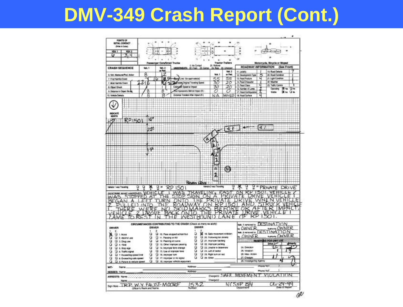### **DMV-349 Crash Report (Cont.)**



w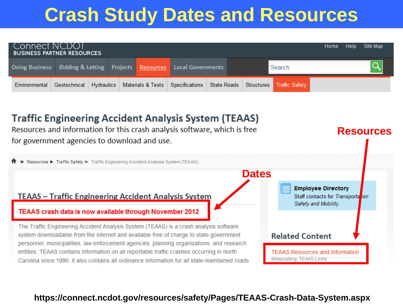# **Crash Study Dates and Resources**

| Connect NCDOT<br><b>BUSINESS PARTNER RESOURCES</b>                    |  |  |  |  |                                                                                                            | Home | Help Site Map |
|-----------------------------------------------------------------------|--|--|--|--|------------------------------------------------------------------------------------------------------------|------|---------------|
| Doing Business Bidding & Letting Projects Resources Local Governments |  |  |  |  | Search                                                                                                     |      |               |
| Environmental                                                         |  |  |  |  | Geotechnical   Hydraulics   Materials & Tests   Specifications   State Roads   Structures   Traffic Safety |      |               |

### **Traffic Engineering Accident Analysis System (TEAAS)**



### **https://connect.ncdot.gov/resources/safety/Pages/TEAAS-Crash-Data-System.aspx**